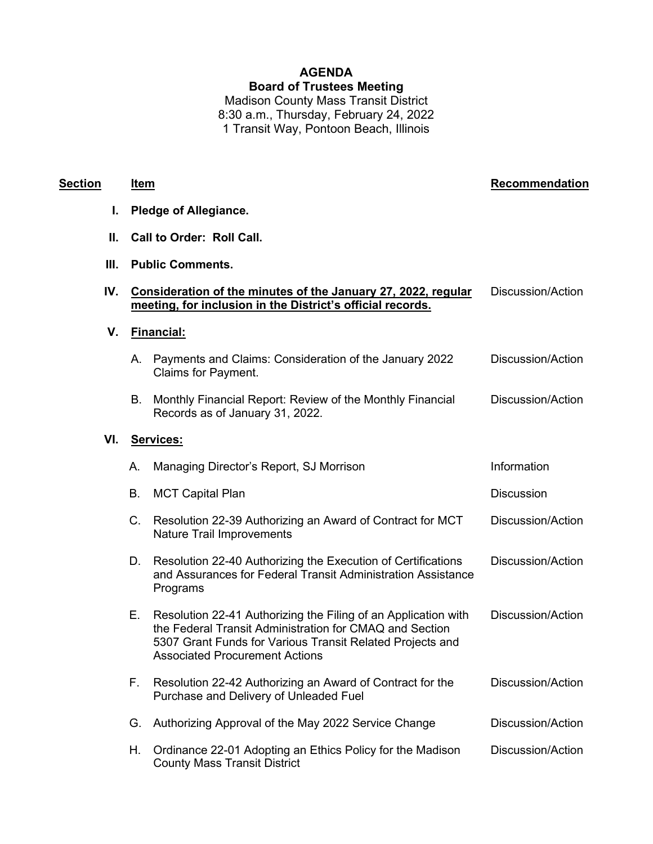# **AGENDA Board of Trustees Meeting** Madison County Mass Transit District

8:30 a.m., Thursday, February 24, 2022 1 Transit Way, Pontoon Beach, Illinois

### **Section Item Recommendation**

- **I. Pledge of Allegiance.**
- **II. Call to Order: Roll Call.**
- **III. Public Comments.**

| IV. Consideration of the minutes of the January 27, 2022, regular | Discussion/Action |
|-------------------------------------------------------------------|-------------------|
| meeting, for inclusion in the District's official records.        |                   |

**V. Financial:**

| A. Payments and Claims: Consideration of the January 2022 | <b>Discussion/Action</b> |
|-----------------------------------------------------------|--------------------------|
| Claims for Payment.                                       |                          |

B. Monthly Financial Report: Review of the Monthly Financial Records as of January 31, 2022. Discussion/Action

#### **VI. Services:**

| Α. | Managing Director's Report, SJ Morrison                                                                                                                                                                                         | Information       |
|----|---------------------------------------------------------------------------------------------------------------------------------------------------------------------------------------------------------------------------------|-------------------|
| В. | <b>MCT Capital Plan</b>                                                                                                                                                                                                         | <b>Discussion</b> |
| C. | Resolution 22-39 Authorizing an Award of Contract for MCT<br><b>Nature Trail Improvements</b>                                                                                                                                   | Discussion/Action |
| D. | Resolution 22-40 Authorizing the Execution of Certifications<br>and Assurances for Federal Transit Administration Assistance<br>Programs                                                                                        | Discussion/Action |
| Е. | Resolution 22-41 Authorizing the Filing of an Application with<br>the Federal Transit Administration for CMAQ and Section<br>5307 Grant Funds for Various Transit Related Projects and<br><b>Associated Procurement Actions</b> | Discussion/Action |
| F. | Resolution 22-42 Authorizing an Award of Contract for the<br>Purchase and Delivery of Unleaded Fuel                                                                                                                             | Discussion/Action |
| G. | Authorizing Approval of the May 2022 Service Change                                                                                                                                                                             | Discussion/Action |
| Η. | Ordinance 22-01 Adopting an Ethics Policy for the Madison<br><b>County Mass Transit District</b>                                                                                                                                | Discussion/Action |